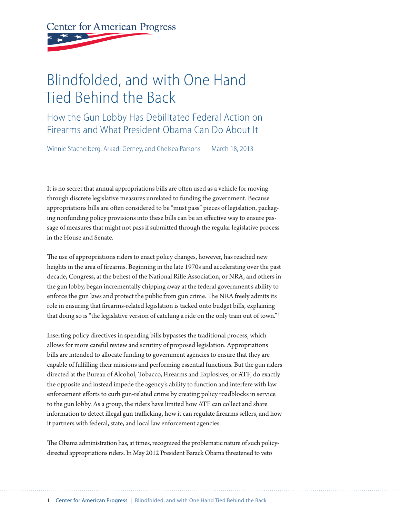**Center for American Progress** 

# Blindfolded, and with One Hand Tied Behind the Back

How the Gun Lobby Has Debilitated Federal Action on Firearms and What President Obama Can Do About It

Winnie Stachelberg, Arkadi Gerney, and Chelsea Parsons March 18, 2013

It is no secret that annual appropriations bills are often used as a vehicle for moving through discrete legislative measures unrelated to funding the government. Because appropriations bills are often considered to be "must pass" pieces of legislation, packaging nonfunding policy provisions into these bills can be an effective way to ensure passage of measures that might not pass if submitted through the regular legislative process in the House and Senate.

The use of appropriations riders to enact policy changes, however, has reached new heights in the area of firearms. Beginning in the late 1970s and accelerating over the past decade, Congress, at the behest of the National Rifle Association, or NRA, and others in the gun lobby, began incrementally chipping away at the federal government's ability to enforce the gun laws and protect the public from gun crime. The NRA freely admits its role in ensuring that firearms-related legislation is tacked onto budget bills, explaining that doing so is "the legislative version of catching a ride on the only train out of town."1

Inserting policy directives in spending bills bypasses the traditional process, which allows for more careful review and scrutiny of proposed legislation. Appropriations bills are intended to allocate funding to government agencies to ensure that they are capable of fulfilling their missions and performing essential functions. But the gun riders directed at the Bureau of Alcohol, Tobacco, Firearms and Explosives, or ATF, do exactly the opposite and instead impede the agency's ability to function and interfere with law enforcement efforts to curb gun-related crime by creating policy roadblocks in service to the gun lobby. As a group, the riders have limited how ATF can collect and share information to detect illegal gun trafficking, how it can regulate firearms sellers, and how it partners with federal, state, and local law enforcement agencies.

The Obama administration has, at times, recognized the problematic nature of such policydirected appropriations riders. In May 2012 President Barack Obama threatened to veto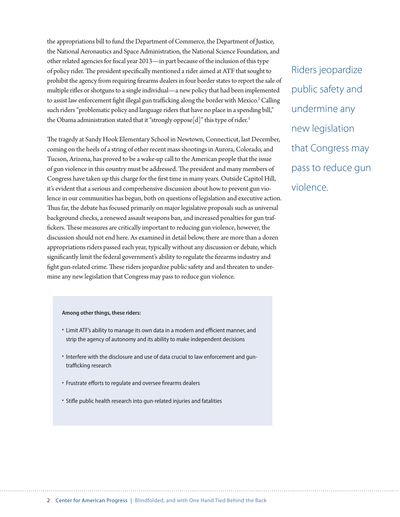the appropriations bill to fund the Department of Commerce, the Department of Justice, the National Aeronautics and Space Administration, the National Science Foundation, and other related agencies for fiscal year 2013—in part because of the inclusion of this type of policy rider. The president specifically mentioned a rider aimed at ATF that sought to prohibit the agency from requiring firearms dealers in four border states to report the sale of multiple rifles or shotguns to a single individual—a new policy that had been implemented to assist law enforcement fight illegal gun trafficking along the border with Mexico.<sup>2</sup> Calling such riders "problematic policy and language riders that have no place in a spending bill," the Obama administration stated that it "strongly oppose<sup>[d]"</sup> this type of rider.<sup>3</sup>

The tragedy at Sandy Hook Elementary School in Newtown, Connecticut, last December, coming on the heels of a string of other recent mass shootings in Aurora, Colorado, and Tucson, Arizona, has proved to be a wake-up call to the American people that the issue of gun violence in this country must be addressed. The president and many members of Congress have taken up this charge for the first time in many years. Outside Capitol Hill, it's evident that a serious and comprehensive discussion about how to prevent gun violence in our communities has begun, both on questions of legislation and executive action. Thus far, the debate has focused primarily on major legislative proposals such as universal background checks, a renewed assault weapons ban, and increased penalties for gun traffickers. These measures are critically important to reducing gun violence, however, the discussion should not end here. As examined in detail below, there are more than a dozen appropriations riders passed each year, typically without any discussion or debate, which significantly limit the federal government's ability to regulate the firearms industry and fight gun-related crime. These riders jeopardize public safety and and threaten to undermine any new legislation that Congress may pass to reduce gun violence.

#### **Among other things, these riders:**

- Limit ATF's ability to manage its own data in a modern and efficient manner, and strip the agency of autonomy and its ability to make independent decisions
- Interfere with the disclosure and use of data crucial to law enforcement and guntrafficking research
- Frustrate efforts to regulate and oversee firearms dealers
- Stifle public health research into gun-related injuries and fatalities

Riders jeopardize public safety and undermine any new legislation that Congress may pass to reduce gun violence.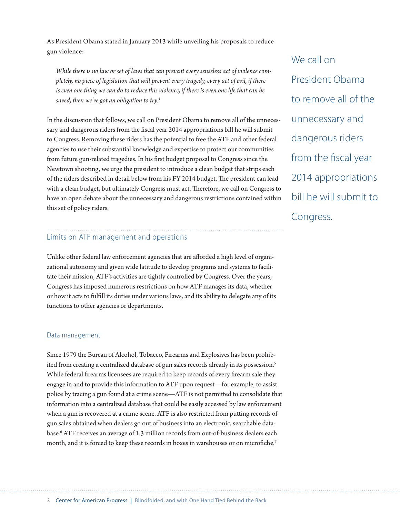As President Obama stated in January 2013 while unveiling his proposals to reduce gun violence:

*While there is no law or set of laws that can prevent every senseless act of violence completely, no piece of legislation that will prevent every tragedy, every act of evil, if there is even one thing we can do to reduce this violence, if there is even one life that can be saved, then we've got an obligation to try.4*

In the discussion that follows, we call on President Obama to remove all of the unnecessary and dangerous riders from the fiscal year 2014 appropriations bill he will submit to Congress. Removing these riders has the potential to free the ATF and other federal agencies to use their substantial knowledge and expertise to protect our communities from future gun-related tragedies. In his first budget proposal to Congress since the Newtown shooting, we urge the president to introduce a clean budget that strips each of the riders described in detail below from his FY 2014 budget. The president can lead with a clean budget, but ultimately Congress must act. Therefore, we call on Congress to have an open debate about the unnecessary and dangerous restrictions contained within this set of policy riders.

# Limits on ATF management and operations

Unlike other federal law enforcement agencies that are afforded a high level of organizational autonomy and given wide latitude to develop programs and systems to facilitate their mission, ATF's activities are tightly controlled by Congress. Over the years, Congress has imposed numerous restrictions on how ATF manages its data, whether or how it acts to fulfill its duties under various laws, and its ability to delegate any of its functions to other agencies or departments.

#### Data management

Since 1979 the Bureau of Alcohol, Tobacco, Firearms and Explosives has been prohibited from creating a centralized database of gun sales records already in its possession.<sup>5</sup> While federal firearms licensees are required to keep records of every firearm sale they engage in and to provide this information to ATF upon request—for example, to assist police by tracing a gun found at a crime scene—ATF is not permitted to consolidate that information into a centralized database that could be easily accessed by law enforcement when a gun is recovered at a crime scene. ATF is also restricted from putting records of gun sales obtained when dealers go out of business into an electronic, searchable database.6 ATF receives an average of 1.3 million records from out-of-business dealers each month, and it is forced to keep these records in boxes in warehouses or on microfiche.7

We call on President Obama to remove all of the unnecessary and dangerous riders from the fiscal year 2014 appropriations bill he will submit to Congress.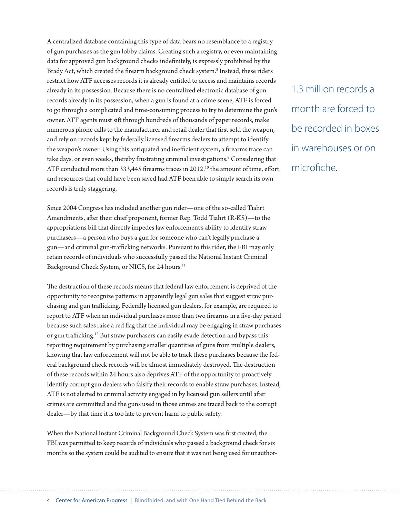A centralized database containing this type of data bears no resemblance to a registry of gun purchases as the gun lobby claims. Creating such a registry, or even maintaining data for approved gun background checks indefinitely, is expressly prohibited by the Brady Act, which created the firearm background check system.<sup>8</sup> Instead, these riders restrict how ATF accesses records it is already entitled to access and maintains records already in its possession. Because there is no centralized electronic database of gun records already in its possession, when a gun is found at a crime scene, ATF is forced to go through a complicated and time-consuming process to try to determine the gun's owner. ATF agents must sift through hundreds of thousands of paper records, make numerous phone calls to the manufacturer and retail dealer that first sold the weapon, and rely on records kept by federally licensed firearms dealers to attempt to identify the weapon's owner. Using this antiquated and inefficient system, a firearms trace can take days, or even weeks, thereby frustrating criminal investigations.<sup>9</sup> Considering that ATF conducted more than 333,445 firearms traces in  $2012$ ,<sup>10</sup> the amount of time, effort, and resources that could have been saved had ATF been able to simply search its own records is truly staggering.

Since 2004 Congress has included another gun rider—one of the so-called Tiahrt Amendments, after their chief proponent, former Rep. Todd Tiahrt (R-KS)—to the appropriations bill that directly impedes law enforcement's ability to identify straw purchasers—a person who buys a gun for someone who can't legally purchase a gun—and criminal gun-trafficking networks. Pursuant to this rider, the FBI may only retain records of individuals who successfully passed the National Instant Criminal Background Check System, or NICS, for 24 hours.<sup>11</sup>

The destruction of these records means that federal law enforcement is deprived of the opportunity to recognize patterns in apparently legal gun sales that suggest straw purchasing and gun trafficking. Federally licensed gun dealers, for example, are required to report to ATF when an individual purchases more than two firearms in a five-day period because such sales raise a red flag that the individual may be engaging in straw purchases or gun trafficking.12 But straw purchasers can easily evade detection and bypass this reporting requirement by purchasing smaller quantities of guns from multiple dealers, knowing that law enforcement will not be able to track these purchases because the federal background check records will be almost immediately destroyed. The destruction of these records within 24 hours also deprives ATF of the opportunity to proactively identify corrupt gun dealers who falsify their records to enable straw purchases. Instead, ATF is not alerted to criminal activity engaged in by licensed gun sellers until after crimes are committed and the guns used in those crimes are traced back to the corrupt dealer—by that time it is too late to prevent harm to public safety.

When the National Instant Criminal Background Check System was first created, the FBI was permitted to keep records of individuals who passed a background check for six months so the system could be audited to ensure that it was not being used for unauthor-

1.3 million records a month are forced to be recorded in boxes in warehouses or on microfiche.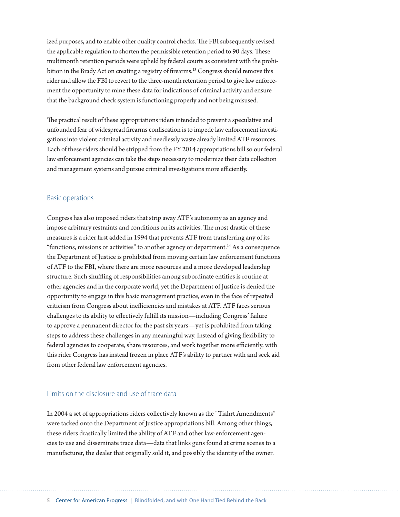ized purposes, and to enable other quality control checks. The FBI subsequently revised the applicable regulation to shorten the permissible retention period to 90 days. These multimonth retention periods were upheld by federal courts as consistent with the prohibition in the Brady Act on creating a registry of firearms.<sup>13</sup> Congress should remove this rider and allow the FBI to revert to the three-month retention period to give law enforcement the opportunity to mine these data for indications of criminal activity and ensure that the background check system is functioning properly and not being misused.

The practical result of these appropriations riders intended to prevent a speculative and unfounded fear of widespread firearms confiscation is to impede law enforcement investigations into violent criminal activity and needlessly waste already limited ATF resources. Each of these riders should be stripped from the FY 2014 appropriations bill so our federal law enforcement agencies can take the steps necessary to modernize their data collection and management systems and pursue criminal investigations more efficiently.

#### Basic operations

Congress has also imposed riders that strip away ATF's autonomy as an agency and impose arbitrary restraints and conditions on its activities. The most drastic of these measures is a rider first added in 1994 that prevents ATF from transferring any of its "functions, missions or activities" to another agency or department.<sup>14</sup> As a consequence the Department of Justice is prohibited from moving certain law enforcement functions of ATF to the FBI, where there are more resources and a more developed leadership structure. Such shuffling of responsibilities among subordinate entities is routine at other agencies and in the corporate world, yet the Department of Justice is denied the opportunity to engage in this basic management practice, even in the face of repeated criticism from Congress about inefficiencies and mistakes at ATF. ATF faces serious challenges to its ability to effectively fulfill its mission—including Congress' failure to approve a permanent director for the past six years—yet is prohibited from taking steps to address these challenges in any meaningful way. Instead of giving flexibility to federal agencies to cooperate, share resources, and work together more efficiently, with this rider Congress has instead frozen in place ATF's ability to partner with and seek aid from other federal law enforcement agencies.

#### Limits on the disclosure and use of trace data

In 2004 a set of appropriations riders collectively known as the "Tiahrt Amendments" were tacked onto the Department of Justice appropriations bill. Among other things, these riders drastically limited the ability of ATF and other law-enforcement agencies to use and disseminate trace data—data that links guns found at crime scenes to a manufacturer, the dealer that originally sold it, and possibly the identity of the owner.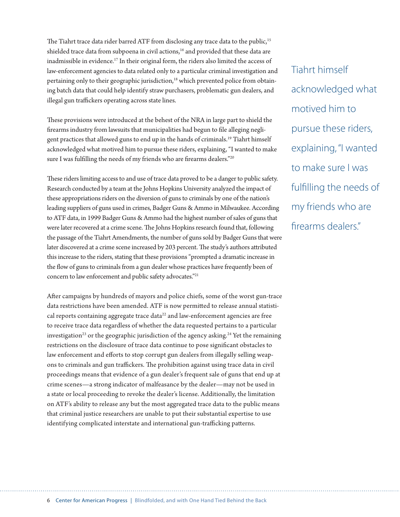The Tiahrt trace data rider barred ATF from disclosing any trace data to the public,<sup>15</sup> shielded trace data from subpoena in civil actions,<sup>16</sup> and provided that these data are inadmissible in evidence.<sup>17</sup> In their original form, the riders also limited the access of law-enforcement agencies to data related only to a particular criminal investigation and pertaining only to their geographic jurisdiction,<sup>18</sup> which prevented police from obtaining batch data that could help identify straw purchasers, problematic gun dealers, and illegal gun traffickers operating across state lines.

These provisions were introduced at the behest of the NRA in large part to shield the firearms industry from lawsuits that municipalities had begun to file alleging negligent practices that allowed guns to end up in the hands of criminals.19 Tiahrt himself acknowledged what motived him to pursue these riders, explaining, "I wanted to make sure I was fulfilling the needs of my friends who are firearms dealers."<sup>20</sup>

These riders limiting access to and use of trace data proved to be a danger to public safety. Research conducted by a team at the Johns Hopkins University analyzed the impact of these appropriations riders on the diversion of guns to criminals by one of the nation's leading suppliers of guns used in crimes, Badger Guns & Ammo in Milwaukee. According to ATF data, in 1999 Badger Guns & Ammo had the highest number of sales of guns that were later recovered at a crime scene. The Johns Hopkins research found that, following the passage of the Tiahrt Amendments, the number of guns sold by Badger Guns that were later discovered at a crime scene increased by 203 percent. The study's authors attributed this increase to the riders, stating that these provisions "prompted a dramatic increase in the flow of guns to criminals from a gun dealer whose practices have frequently been of concern to law enforcement and public safety advocates."21

After campaigns by hundreds of mayors and police chiefs, some of the worst gun-trace data restrictions have been amended. ATF is now permitted to release annual statistical reports containing aggregate trace data<sup>22</sup> and law-enforcement agencies are free to receive trace data regardless of whether the data requested pertains to a particular investigation<sup>23</sup> or the geographic jurisdiction of the agency asking.<sup>24</sup> Yet the remaining restrictions on the disclosure of trace data continue to pose significant obstacles to law enforcement and efforts to stop corrupt gun dealers from illegally selling weapons to criminals and gun traffickers. The prohibition against using trace data in civil proceedings means that evidence of a gun dealer's frequent sale of guns that end up at crime scenes—a strong indicator of malfeasance by the dealer—may not be used in a state or local proceeding to revoke the dealer's license. Additionally, the limitation on ATF's ability to release any but the most aggregated trace data to the public means that criminal justice researchers are unable to put their substantial expertise to use identifying complicated interstate and international gun-trafficking patterns.

Tiahrt himself acknowledged what motived him to pursue these riders, explaining, "I wanted to make sure I was fulfilling the needs of my friends who are firearms dealers."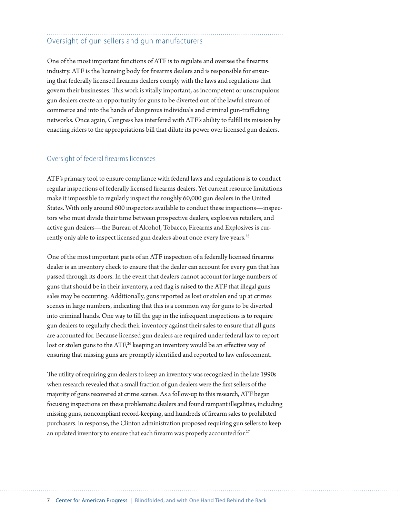# Oversight of gun sellers and gun manufacturers

One of the most important functions of ATF is to regulate and oversee the firearms industry. ATF is the licensing body for firearms dealers and is responsible for ensuring that federally licensed firearms dealers comply with the laws and regulations that govern their businesses. This work is vitally important, as incompetent or unscrupulous gun dealers create an opportunity for guns to be diverted out of the lawful stream of commerce and into the hands of dangerous individuals and criminal gun-trafficking networks. Once again, Congress has interfered with ATF's ability to fulfill its mission by enacting riders to the appropriations bill that dilute its power over licensed gun dealers.

#### Oversight of federal firearms licensees

ATF's primary tool to ensure compliance with federal laws and regulations is to conduct regular inspections of federally licensed firearms dealers. Yet current resource limitations make it impossible to regularly inspect the roughly 60,000 gun dealers in the United States. With only around 600 inspectors available to conduct these inspections—inspectors who must divide their time between prospective dealers, explosives retailers, and active gun dealers—the Bureau of Alcohol, Tobacco, Firearms and Explosives is currently only able to inspect licensed gun dealers about once every five years.<sup>25</sup>

One of the most important parts of an ATF inspection of a federally licensed firearms dealer is an inventory check to ensure that the dealer can account for every gun that has passed through its doors. In the event that dealers cannot account for large numbers of guns that should be in their inventory, a red flag is raised to the ATF that illegal guns sales may be occurring. Additionally, guns reported as lost or stolen end up at crimes scenes in large numbers, indicating that this is a common way for guns to be diverted into criminal hands. One way to fill the gap in the infrequent inspections is to require gun dealers to regularly check their inventory against their sales to ensure that all guns are accounted for. Because licensed gun dealers are required under federal law to report lost or stolen guns to the ATF,<sup>26</sup> keeping an inventory would be an effective way of ensuring that missing guns are promptly identified and reported to law enforcement.

The utility of requiring gun dealers to keep an inventory was recognized in the late 1990s when research revealed that a small fraction of gun dealers were the first sellers of the majority of guns recovered at crime scenes. As a follow-up to this research, ATF began focusing inspections on these problematic dealers and found rampant illegalities, including missing guns, noncompliant record-keeping, and hundreds of firearm sales to prohibited purchasers. In response, the Clinton administration proposed requiring gun sellers to keep an updated inventory to ensure that each firearm was properly accounted for.<sup>27</sup>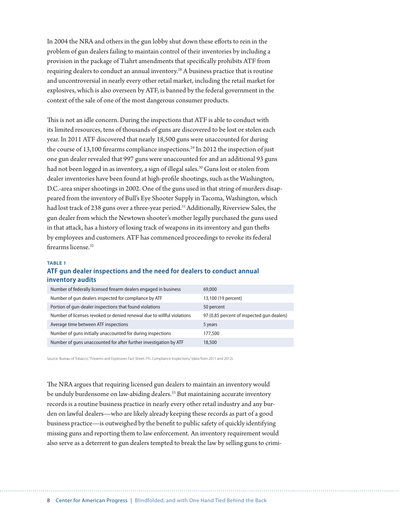In 2004 the NRA and others in the gun lobby shut down these efforts to rein in the problem of gun dealers failing to maintain control of their inventories by including a provision in the package of Tiahrt amendments that specifically prohibits ATF from requiring dealers to conduct an annual inventory.<sup>28</sup> A business practice that is routine and uncontroversial in nearly every other retail market, including the retail market for explosives, which is also overseen by ATF, is banned by the federal government in the context of the sale of one of the most dangerous consumer products.

This is not an idle concern. During the inspections that ATF is able to conduct with its limited resources, tens of thousands of guns are discovered to be lost or stolen each year. In 2011 ATF discovered that nearly 18,500 guns were unaccounted for during the course of 13,100 firearms compliance inspections.<sup>29</sup> In 2012 the inspection of just one gun dealer revealed that 997 guns were unaccounted for and an additional 93 guns had not been logged in as inventory, a sign of illegal sales.<sup>30</sup> Guns lost or stolen from dealer inventories have been found at high-profile shootings, such as the Washington, D.C.-area sniper shootings in 2002. One of the guns used in that string of murders disappeared from the inventory of Bull's Eye Shooter Supply in Tacoma, Washington, which had lost track of 238 guns over a three-year period.<sup>31</sup> Additionally, Riverview Sales, the gun dealer from which the Newtown shooter's mother legally purchased the guns used in that attack, has a history of losing track of weapons in its inventory and gun thefts by employees and customers. ATF has commenced proceedings to revoke its federal firearms license<sup>32</sup>

#### **TABLE 1**

#### **ATF gun dealer inspections and the need for dealers to conduct annual inventory audits**

| Number of federally licensed firearm dealers engaged in business       | 69,000                                     |
|------------------------------------------------------------------------|--------------------------------------------|
| Number of gun dealers inspected for compliance by ATF                  | 13,100 (19 percent)                        |
| Portion of gun-dealer inspections that found violations                | 50 percent                                 |
| Number of licenses revoked or denied renewal due to willful violations | 97 (0.85 percent of inspected gun dealers) |
| Average time between ATF inspections                                   | 5 years                                    |
| Number of guns initially unaccounted for during inspections            | 177,500                                    |
| Number of guns unaccounted for after further investigation by ATF      | 18,500                                     |

Source: Bureau of Tobacco, "Firearms and Explosives Fact Sheet: FFL Compliance Inspections," (data from 2011 and 2012).

The NRA argues that requiring licensed gun dealers to maintain an inventory would be unduly burdensome on law-abiding dealers.<sup>33</sup> But maintaining accurate inventory records is a routine business practice in nearly every other retail industry and any burden on lawful dealers—who are likely already keeping these records as part of a good business practice—is outweighed by the benefit to public safety of quickly identifying missing guns and reporting them to law enforcement. An inventory requirement would also serve as a deterrent to gun dealers tempted to break the law by selling guns to crimi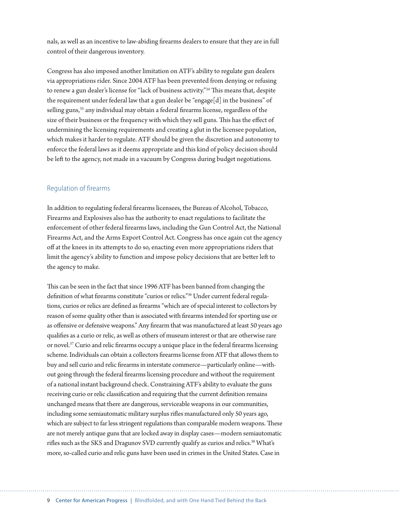nals, as well as an incentive to law-abiding firearms dealers to ensure that they are in full control of their dangerous inventory.

Congress has also imposed another limitation on ATF's ability to regulate gun dealers via appropriations rider. Since 2004 ATF has been prevented from denying or refusing to renew a gun dealer's license for "lack of business activity."34 This means that, despite the requirement under federal law that a gun dealer be "engage[d] in the business" of selling guns,<sup>35</sup> any individual may obtain a federal firearms license, regardless of the size of their business or the frequency with which they sell guns. This has the effect of undermining the licensing requirements and creating a glut in the licensee population, which makes it harder to regulate. ATF should be given the discretion and autonomy to enforce the federal laws as it deems appropriate and this kind of policy decision should be left to the agency, not made in a vacuum by Congress during budget negotiations.

#### Regulation of firearms

In addition to regulating federal firearms licensees, the Bureau of Alcohol, Tobacco, Firearms and Explosives also has the authority to enact regulations to facilitate the enforcement of other federal firearms laws, including the Gun Control Act, the National Firearms Act, and the Arms Export Control Act. Congress has once again cut the agency off at the knees in its attempts to do so, enacting even more appropriations riders that limit the agency's ability to function and impose policy decisions that are better left to the agency to make.

This can be seen in the fact that since 1996 ATF has been banned from changing the definition of what firearms constitute "curios or relics."36 Under current federal regulations, curios or relics are defined as firearms "which are of special interest to collectors by reason of some quality other than is associated with firearms intended for sporting use or as offensive or defensive weapons." Any firearm that was manufactured at least 50 years ago qualifies as a curio or relic, as well as others of museum interest or that are otherwise rare or novel.37 Curio and relic firearms occupy a unique place in the federal firearms licensing scheme. Individuals can obtain a collectors firearms license from ATF that allows them to buy and sell curio and relic firearms in interstate commerce—particularly online—without going through the federal firearms licensing procedure and without the requirement of a national instant background check. Constraining ATF's ability to evaluate the guns receiving curio or relic classification and requiring that the current definition remains unchanged means that there are dangerous, serviceable weapons in our communities, including some semiautomatic military surplus rifles manufactured only 50 years ago, which are subject to far less stringent regulations than comparable modern weapons. These are not merely antique guns that are locked away in display cases—modern semiautomatic rifles such as the SKS and Dragunov SVD currently qualify as curios and relics.<sup>38</sup> What's more, so-called curio and relic guns have been used in crimes in the United States. Case in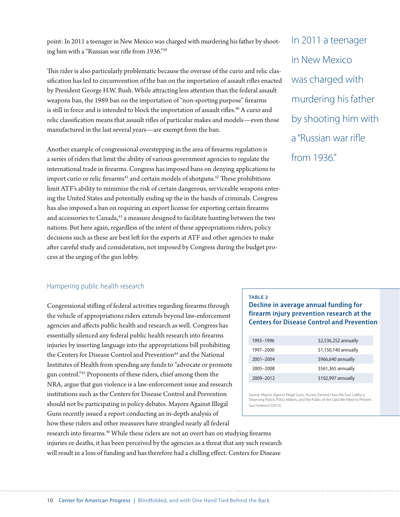point: In 2011 a teenager in New Mexico was charged with murdering his father by shooting him with a "Russian war rifle from 1936."39

This rider is also particularly problematic because the overuse of the curio and relic classification has led to circumvention of the ban on the importation of assault rifles enacted by President George H.W. Bush. While attracting less attention than the federal assault weapons ban, the 1989 ban on the importation of "non-sporting purpose" firearms is still in force and is intended to block the importation of assault rifles.<sup>40</sup> A curio and relic classification means that assault rifles of particular makes and models—even those manufactured in the last several years—are exempt from the ban.

Another example of congressional overstepping in the area of firearms regulation is a series of riders that limit the ability of various government agencies to regulate the international trade in firearms. Congress has imposed bans on denying applications to import curio or relic firearms<sup>41</sup> and certain models of shotguns.<sup>42</sup> These prohibitions limit ATF's ability to minimize the risk of certain dangerous, serviceable weapons entering the United States and potentially ending up the in the hands of criminals. Congress has also imposed a ban on requiring an export license for exporting certain firearms and accessories to Canada,<sup>43</sup> a measure designed to facilitate hunting between the two nations. But here again, regardless of the intent of these appropriations riders, policy decisions such as these are best left for the experts at ATF and other agencies to make after careful study and consideration, not imposed by Congress during the budget process at the urging of the gun lobby.

In 2011 a teenager in New Mexico was charged with murdering his father by shooting him with a "Russian war rifle from 1936."

#### Hampering public health research

Congressional stifling of federal activities regarding firearms through the vehicle of appropriations riders extends beyond law-enforcement agencies and affects public health and research as well. Congress has essentially silenced any federal public health research into firearms injuries by inserting language into the appropriations bill prohibiting the Centers for Disease Control and Prevention<sup>44</sup> and the National Institutes of Health from spending any funds to "advocate or promote gun control."45 Proponents of these riders, chief among them the NRA, argue that gun violence is a law-enforcement issue and research institutions such as the Centers for Disease Control and Prevention should not be participating in policy debates. Mayors Against Illegal Guns recently issued a report conducting an in-depth analysis of how these riders and other measures have strangled nearly all federal

#### **TABLE 2**

#### **Decline in average annual funding for firearm injury prevention research at the Centers for Disease Control and Prevention**

| 1993–1996 | \$2,536,252 annually |
|-----------|----------------------|
| 1997-2000 | \$1,150,140 annually |
| 2001-2004 | \$966,640 annually   |
| 2005-2008 | \$561,365 annually   |
| 2009-2012 | \$102,997 annually   |

Source: Mayors Against Illegal Guns, "Access Denied: How the Gun Lobby is Depriving Police, Policy Makers, and the Public of the Data We Need to Prevent Gun Violence" (2013).

research into firearms.<sup>46</sup> While these riders are not an overt ban on studying firearms injuries or deaths, it has been perceived by the agencies as a threat that any such research will result in a loss of funding and has therefore had a chilling effect. Centers for Disease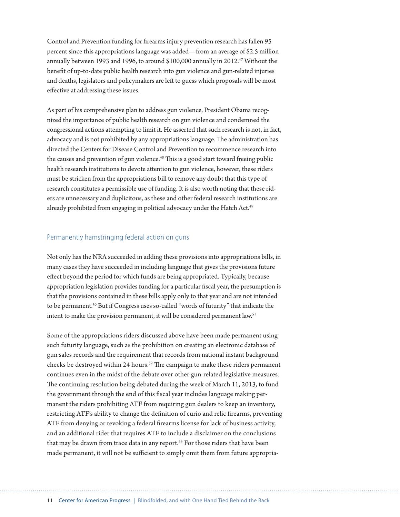Control and Prevention funding for firearms injury prevention research has fallen 95 percent since this appropriations language was added—from an average of \$2.5 million annually between 1993 and 1996, to around \$100,000 annually in 2012.<sup>47</sup> Without the benefit of up-to-date public health research into gun violence and gun-related injuries and deaths, legislators and policymakers are left to guess which proposals will be most effective at addressing these issues.

As part of his comprehensive plan to address gun violence, President Obama recognized the importance of public health research on gun violence and condemned the congressional actions attempting to limit it. He asserted that such research is not, in fact, advocacy and is not prohibited by any appropriations language. The administration has directed the Centers for Disease Control and Prevention to recommence research into the causes and prevention of gun violence.<sup>48</sup> This is a good start toward freeing public health research institutions to devote attention to gun violence, however, these riders must be stricken from the appropriations bill to remove any doubt that this type of research constitutes a permissible use of funding. It is also worth noting that these riders are unnecessary and duplicitous, as these and other federal research institutions are already prohibited from engaging in political advocacy under the Hatch Act.<sup>49</sup>

#### Permanently hamstringing federal action on guns

Not only has the NRA succeeded in adding these provisions into appropriations bills, in many cases they have succeeded in including language that gives the provisions future effect beyond the period for which funds are being appropriated. Typically, because appropriation legislation provides funding for a particular fiscal year, the presumption is that the provisions contained in these bills apply only to that year and are not intended to be permanent.50 But if Congress uses so-called "words of futurity" that indicate the intent to make the provision permanent, it will be considered permanent law.<sup>51</sup>

Some of the appropriations riders discussed above have been made permanent using such futurity language, such as the prohibition on creating an electronic database of gun sales records and the requirement that records from national instant background checks be destroyed within 24 hours.<sup>52</sup> The campaign to make these riders permanent continues even in the midst of the debate over other gun-related legislative measures. The continuing resolution being debated during the week of March 11, 2013, to fund the government through the end of this fiscal year includes language making permanent the riders prohibiting ATF from requiring gun dealers to keep an inventory, restricting ATF's ability to change the definition of curio and relic firearms, preventing ATF from denying or revoking a federal firearms license for lack of business activity, and an additional rider that requires ATF to include a disclaimer on the conclusions that may be drawn from trace data in any report.<sup>53</sup> For those riders that have been made permanent, it will not be sufficient to simply omit them from future appropria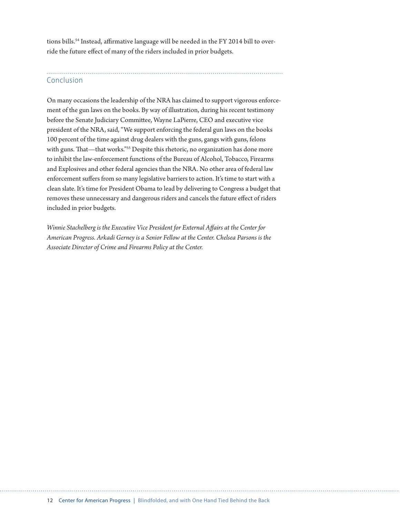tions bills.<sup>54</sup> Instead, affirmative language will be needed in the FY 2014 bill to override the future effect of many of the riders included in prior budgets.

# Conclusion

On many occasions the leadership of the NRA has claimed to support vigorous enforcement of the gun laws on the books. By way of illustration, during his recent testimony before the Senate Judiciary Committee, Wayne LaPierre, CEO and executive vice president of the NRA, said, "We support enforcing the federal gun laws on the books 100 percent of the time against drug dealers with the guns, gangs with guns, felons with guns. That—that works."<sup>55</sup> Despite this rhetoric, no organization has done more to inhibit the law-enforcement functions of the Bureau of Alcohol, Tobacco, Firearms and Explosives and other federal agencies than the NRA. No other area of federal law enforcement suffers from so many legislative barriers to action. It's time to start with a clean slate. It's time for President Obama to lead by delivering to Congress a budget that removes these unnecessary and dangerous riders and cancels the future effect of riders included in prior budgets.

*Winnie Stachelberg is the Executive Vice President for External Affairs at the Center for American Progress. Arkadi Gerney is a Senior Fellow at the Center. Chelsea Parsons is the Associate Director of Crime and Firearms Policy at the Center.*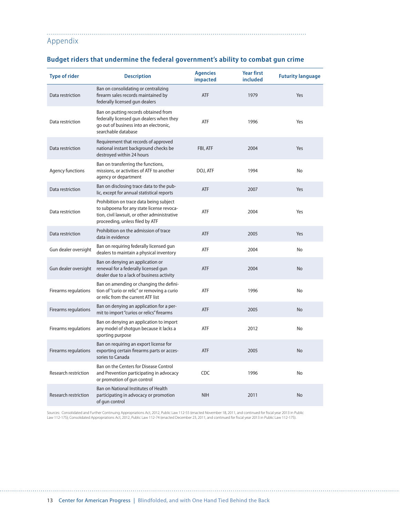Appendix

| <b>Type of rider</b>        | <b>Description</b>                                                                                                                                                      | <b>Agencies</b><br>impacted | <b>Year first</b><br>included | <b>Futurity language</b> |
|-----------------------------|-------------------------------------------------------------------------------------------------------------------------------------------------------------------------|-----------------------------|-------------------------------|--------------------------|
| Data restriction            | Ban on consolidating or centralizing<br>firearm sales records maintained by<br>federally licensed gun dealers                                                           | <b>ATF</b>                  | 1979                          | Yes                      |
| Data restriction            | Ban on putting records obtained from<br>federally licensed gun dealers when they<br>go out of business into an electronic,<br>searchable database                       | ATF                         | 1996                          | Yes                      |
| Data restriction            | Requirement that records of approved<br>national instant background checks be<br>destroyed within 24 hours                                                              | FBI, ATF                    | 2004                          | Yes                      |
| Agency functions            | Ban on transferring the functions,<br>missions, or activities of ATF to another<br>agency or department                                                                 | DOJ, ATF                    | 1994                          | No                       |
| Data restriction            | Ban on disclosing trace data to the pub-<br>lic, except for annual statistical reports                                                                                  | <b>ATF</b>                  | 2007                          | Yes                      |
| Data restriction            | Prohibition on trace data being subject<br>to subpoena for any state license revoca-<br>tion, civil lawsuit, or other administrative<br>proceeding, unless filed by ATF | <b>ATF</b>                  | 2004                          | Yes                      |
| Data restriction            | Prohibition on the admission of trace<br>data in evidence                                                                                                               | <b>ATF</b>                  | 2005                          | Yes                      |
| Gun dealer oversight        | Ban on requiring federally licensed gun<br>dealers to maintain a physical inventory                                                                                     | <b>ATF</b>                  | 2004                          | No                       |
| Gun dealer oversight        | Ban on denying an application or<br>renewal for a federally licensed gun<br>dealer due to a lack of business activity                                                   | <b>ATF</b>                  | 2004                          | No                       |
| Firearms regulations        | Ban on amending or changing the defini-<br>tion of "curio or relic" or removing a curio<br>or relic from the current ATF list                                           | <b>ATF</b>                  | 1996                          | <b>No</b>                |
| Firearms regulations        | Ban on denying an application for a per-<br>mit to import "curios or relics" firearms                                                                                   | <b>ATF</b>                  | 2005                          | No                       |
| Firearms regulations        | Ban on denying an application to import<br>any model of shotgun because it lacks a<br>sporting purpose                                                                  | <b>ATF</b>                  | 2012                          | No                       |
| Firearms regulations        | Ban on requiring an export license for<br>exporting certain firearms parts or acces-<br>sories to Canada                                                                | <b>ATF</b>                  | 2005                          | <b>No</b>                |
| <b>Research restriction</b> | Ban on the Centers for Disease Control<br>and Prevention participating in advocacy<br>or promotion of gun control                                                       | <b>CDC</b>                  | 1996                          | No                       |
| <b>Research restriction</b> | Ban on National Institutes of Health<br>participating in advocacy or promotion<br>of gun control                                                                        | <b>NIH</b>                  | 2011                          | <b>No</b>                |

# **Budget riders that undermine the federal government's ability to combat gun crime**

Sources: Consolidated and Further Continuing Appropriations Act, 2012, Public Law 112-55 (enacted November 18, 2011, and continued for fiscal year 2013 in Public<br>Law 112-175); Consolidated Appropriations Act, 2012, Public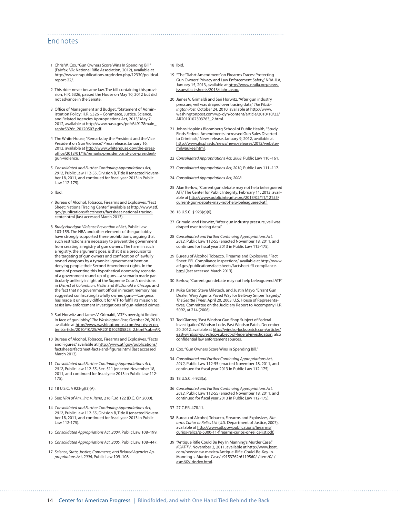### Endnotes

- 1 Chris W. Cox, "Gun Owners Score Wins In Spending Bill" (Fairfax, VA: National Rifle Association, 2012), available at [http://www.nrapublications.org/index.php/12330/political](http://www.nrapublications.org/index.php/12330/political-report-22/)[report-22/.](http://www.nrapublications.org/index.php/12330/political-report-22/)
- 2 This rider never became law. The bill containing this provision, H.R. 5326, passed the House on May 10, 2012 but did not advance in the Senate.
- 3 Office of Management and Budget, "Statement of Administration Policy: H.R. 5326 – Commerce, Justice, Science, and Related Agencies Appropriations Act, 2013," May 7, 2012, available at [http://www.nasa.gov/pdf/649178main\\_](http://www.nasa.gov/pdf/649178main_saphr5326r_20120507.pdf) [saphr5326r\\_20120507.pdf.](http://www.nasa.gov/pdf/649178main_saphr5326r_20120507.pdf)
- 4 The White House, "Remarks by the President and the Vice President on Gun Violence," Press release, January 16, 2013, available at [http://www.whitehouse.gov/the-press](http://www.whitehouse.gov/the-press-office/2013/01/16/remarks-president-and-vice-president-gun-violence)[office/2013/01/16/remarks-president-and-vice-president](http://www.whitehouse.gov/the-press-office/2013/01/16/remarks-president-and-vice-president-gun-violence)[gun-violence](http://www.whitehouse.gov/the-press-office/2013/01/16/remarks-president-and-vice-president-gun-violence).
- 5 *Consolidated and Further Continuing Appropriations Act, 2012*, Public Law 112-55, Division B, Title II (enacted November 18, 2011, and continued for fiscal year 2013 in Public Law 112-175).
- 6 Ibid.
- 7 Bureau of Alcohol, Tobacco, Firearms and Explosives, "Fact Sheet: National Tracing Center," available at [http://www.atf.](http://www.atf.gov/publications/factsheets/factsheet-national-tracing-center.html) [gov/publications/factsheets/factsheet-national-tracing](http://www.atf.gov/publications/factsheets/factsheet-national-tracing-center.html)[center.html](http://www.atf.gov/publications/factsheets/factsheet-national-tracing-center.html) (last accessed March 2013).
- 8 *Brady Handgun Violence Prevention of Act*, Public Law 103-159. The NRA and other elements of the gun lobby have strongly supported these prohibitions, arguing that such restrictions are necessary to prevent the government from creating a registry of gun owners. The harm in such a registry, the argument goes, is that it is a precursor to the targeting of gun owners and confiscation of lawfully owned weapons by a tyrannical government bent on denying people their Second Amendment rights. In the name of preventing this hypothetical doomsday scenario of a government round-up of guns—a scenario made particularly unlikely in light of the Supreme Court's decisions in *District of Columbia v. Heller* and *McDonald v. Chicago* and the fact that no government official in recent memory has suggested confiscating lawfully owned guns—Congress has made it uniquely difficult for ATF to fulfill its mission to assist law-enforcement investigations of gun-related crimes.
- 9 Sari Horwitz and James V. Grimaldi, "ATF's oversight limited in face of gun lobby," *The Washington Post*, October 26, 2010, available at [http://www.washingtonpost.com/wp-dyn/con](http://www.washingtonpost.com/wp-dyn/content/article/2010/10/25/AR2010102505823_2.html?sub=AR)[tent/article/2010/10/25/AR2010102505823\\_2.html?sub=AR.](http://www.washingtonpost.com/wp-dyn/content/article/2010/10/25/AR2010102505823_2.html?sub=AR)
- 10 Bureau of Alcohol, Tobacco, Firearms and Explosives, "Facts and Figures," available at [http://www.atf.gov/publications/](http://www.atf.gov/publications/factsheets/factsheet-facts-and-figures.html) [factsheets/factsheet-facts-and-figures.html](http://www.atf.gov/publications/factsheets/factsheet-facts-and-figures.html) (last accessed March 2013).
- 11 *Consolidated and Further Continuing Appropriations Act, 2012*, Public Law 112-55, Sec. 511 (enacted November 18, 2011, and continued for fiscal year 2013 in Public Law 112- 175).
- 12 18 U.S.C. § 923(g)(3)(A).
- 13 See: *NRA of Am., Inc. v. Reno*, 216 F.3d 122 (D.C. Cir. 2000).
- 14 *Consolidated and Further Continuing Appropriations Act, 2012*, Public Law 112-55, Division B, Title II (enacted November 18, 2011, and continued for fiscal year 2013 in Public Law 112-175).
- 15 *Consolidated Appropriations Act, 2004*, Public Law 108–199.
- 16 *Consolidated Appropriations Act, 2005,* Public Law 108–447.
- 17 *Science, State, Justice, Commerce, and Related Agencies Appropriations Act, 2006*, Public Law 109–108.

#### 18 Ibid.

- 19 "The 'Tiahrt Amendment' on Firearms Traces: Protecting Gun Owners' Privacy and Law Enforcement Safety," NRA-ILA, January 15, 2013, available at [http://www.nraila.org/news](http://www.nraila.org/news-issues/fact-sheets/2013/tiahrt.aspx)[issues/fact-sheets/2013/tiahrt.aspx](http://www.nraila.org/news-issues/fact-sheets/2013/tiahrt.aspx).
- 20 James V. Grimaldi and Sari Horwitz, "After gun industry pressure, veil was draped over tracing data," *The Washington Post*, October 24, 2010, available at [http://www.](http://www.washingtonpost.com/wp-dyn/content/article/2010/10/23/AR2010102303763_2.html) [washingtonpost.com/wp-dyn/content/article/2010/10/23/](http://www.washingtonpost.com/wp-dyn/content/article/2010/10/23/AR2010102303763_2.html) [AR2010102303763\\_2.html](http://www.washingtonpost.com/wp-dyn/content/article/2010/10/23/AR2010102303763_2.html).
- 21 Johns Hopkins Bloomberg School of Public Health, "Study Finds Federal Amendments Increased Gun Sales Diverted to Criminals," News release, January 9, 2012, available at [http://www.jhsph.edu/news/news-releases/2012/webster](http://www.jhsph.edu/news/news-releases/2012/webster-milwaukee.html)[milwaukee.html](http://www.jhsph.edu/news/news-releases/2012/webster-milwaukee.html).
- 22 *Consolidated Appropriations Act, 2008*, Public Law 110–161.
- 23 *Consolidated Appropriations Act, 2010,* Public Law 111–117.
- 24 *Consolidated Appropriations Act, 2008*.
- 25 Alan Berlow, "Current gun debate may not help beleaguered ATF," The Center for Public Integrity, February 11, 2013, available at [http://www.publicintegrity.org/2013/02/11/12155/](http://www.publicintegrity.org/2013/02/11/12155/current-gun-debate-may-not-help-beleaguered-atf) [current-gun-debate-may-not-help-beleaguered-atf](http://www.publicintegrity.org/2013/02/11/12155/current-gun-debate-may-not-help-beleaguered-atf).
- 26 18 U.S.C. § 923(g)(6).
- 27 Grimaldi and Horwitz, "After gun industry pressure, veil was draped over tracing data."
- 28 *Consolidated and Further Continuing Appropriations Act, 2012*, Public Law 112-55 (enacted November 18, 2011, and continued for fiscal year 2013 in Public Law 112-175).
- 29 Bureau of Alcohol, Tobacco, Firearms and Explosives, "Fact Sheet: FFL Compliance Inspections," available at [http://www.](http://www.atf.gov/publications/factsheets/factsheet-ffl-compliance.html) [atf.gov/publications/factsheets/factsheet-ffl-compliance.](http://www.atf.gov/publications/factsheets/factsheet-ffl-compliance.html) [html](http://www.atf.gov/publications/factsheets/factsheet-ffl-compliance.html) (last accessed March 2013).
- 30 Berlow, "Current gun debate may not help beleaguered ATF."
- 31 Mike Carter, Steve Miletech, and Justin Mayo, "Errant Gun Dealer, Wary Agents Paved Way for Beltway Sniper Tragedy," *The Seattle Times*, April 20, 2003; U.S. House of Representatives, Committee on the Judiciary Report to Accompany H.R. 5092, at 214 (2006).
- 32 Ted Glanzer, "East Windsor Gun Shop Subject of Federal Investigation," Windsor Locks-East Windsor Patch, December 20, 2012, available at [http://windsorlocks.patch.com/articles/](http://windsorlocks.patch.com/articles/east-windsor-gun-shop-subject-of-federal-investigation) [east-windsor-gun-shop-subject-of-federal-investigation](http://windsorlocks.patch.com/articles/east-windsor-gun-shop-subject-of-federal-investigation); also confidential law enforcement sources.
- 33 Cox, "Gun Owners Score Wins in Spending Bill."
- 34 *Consolidated and Further Continuing Appropriations Act, 2012*, Public Law 112-55 (enacted November 18, 2011, and continued for fiscal year 2013 in Public Law 112-175).
- 35 18 U.S.C. § 923(a).
- 36 *Consolidated and Further Continuing Appropriations Act, 2012*, Public Law 112-55 (enacted November 18, 2011, and continued for fiscal year 2013 in Public Law 112-175).
- 37 27 C.F.R. 478.11.
- 38 Bureau of Alcohol, Tobacco, Firearms and Explosives, *Firearms Curios or Relics List* (U.S. Department of Justice, 2007), available at [http://www.atf.gov/publications/firearms/](http://www.atf.gov/publications/firearms/curios-relics/p-5300-11-firearms-curios-or-relics-list.pdf) [curios-relics/p-5300-11-firearms-curios-or-relics-list.pdf](http://www.atf.gov/publications/firearms/curios-relics/p-5300-11-firearms-curios-or-relics-list.pdf).
- 39 "Antique Rifle Could Be Key In Manning's Murder Case," *KOAT-TV*, November 2, 2011, available at [http://www.koat.](http://www.koat.com/news/new-mexico/Antique-Rifle-Could-Be-Key-In-Manning-s-Murder-Case/-/9153762/6119560/-/item/0/-/asm6i2/-/index.html) [com/news/new-mexico/Antique-Rifle-Could-Be-Key-In-](http://www.koat.com/news/new-mexico/Antique-Rifle-Could-Be-Key-In-Manning-s-Murder-Case/-/9153762/6119560/-/item/0/-/asm6i2/-/index.html)[Manning-s-Murder-Case/-/9153762/6119560/-/item/0/-/](http://www.koat.com/news/new-mexico/Antique-Rifle-Could-Be-Key-In-Manning-s-Murder-Case/-/9153762/6119560/-/item/0/-/asm6i2/-/index.html) [asm6i2/-/index.html.](http://www.koat.com/news/new-mexico/Antique-Rifle-Could-Be-Key-In-Manning-s-Murder-Case/-/9153762/6119560/-/item/0/-/asm6i2/-/index.html)